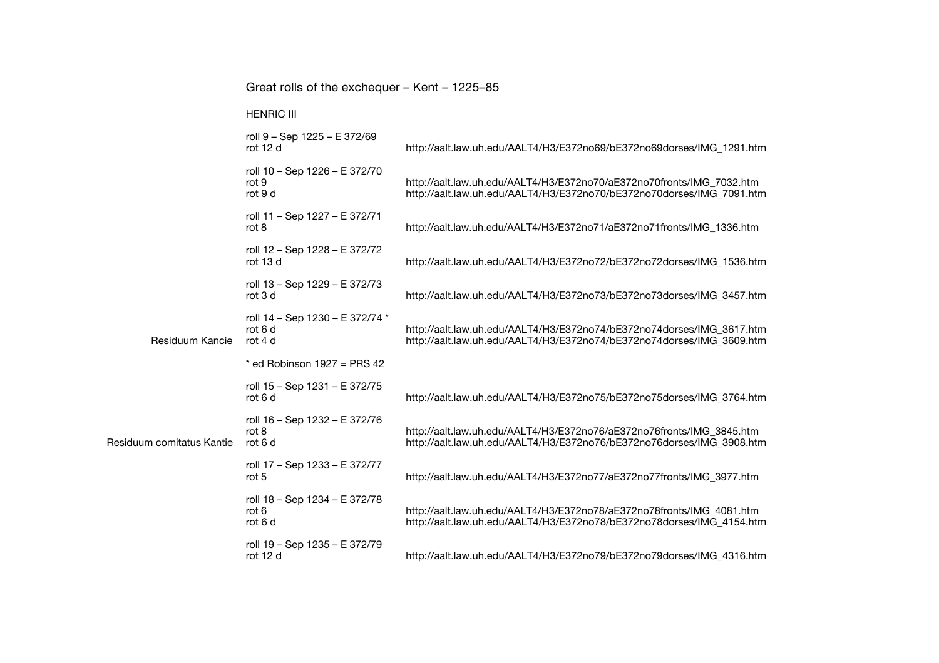|                           | Great rolls of the exchequer - Kent - 1225-85         |                                                                                                                                                |
|---------------------------|-------------------------------------------------------|------------------------------------------------------------------------------------------------------------------------------------------------|
|                           | <b>HENRIC III</b>                                     |                                                                                                                                                |
|                           | roll 9 - Sep 1225 - E 372/69<br>rot 12 d              | http://aalt.law.uh.edu/AALT4/H3/E372no69/bE372no69dorses/IMG_1291.htm                                                                          |
|                           | roll 10 - Sep 1226 - E 372/70<br>rot 9<br>rot 9 d     | http://aalt.law.uh.edu/AALT4/H3/E372no70/aE372no70fronts/IMG_7032.htm<br>http://aalt.law.uh.edu/AALT4/H3/E372no70/bE372no70dorses/IMG_7091.htm |
|                           | roll 11 - Sep 1227 - E 372/71<br>rot 8                | http://aalt.law.uh.edu/AALT4/H3/E372no71/aE372no71fronts/IMG_1336.htm                                                                          |
|                           | roll 12 - Sep 1228 - E 372/72<br>rot 13 d             | http://aalt.law.uh.edu/AALT4/H3/E372no72/bE372no72dorses/IMG_1536.htm                                                                          |
|                           | roll 13 - Sep 1229 - E 372/73<br>rot 3 d              | http://aalt.law.uh.edu/AALT4/H3/E372no73/bE372no73dorses/IMG_3457.htm                                                                          |
| Residuum Kancie           | roll 14 - Sep 1230 - E 372/74 *<br>rot 6 d<br>rot 4 d | http://aalt.law.uh.edu/AALT4/H3/E372no74/bE372no74dorses/IMG_3617.htm<br>http://aalt.law.uh.edu/AALT4/H3/E372no74/bE372no74dorses/IMG_3609.htm |
|                           | $*$ ed Robinson 1927 = PRS 42                         |                                                                                                                                                |
|                           | roll 15 - Sep 1231 - E 372/75<br>rot 6 d              | http://aalt.law.uh.edu/AALT4/H3/E372no75/bE372no75dorses/IMG_3764.htm                                                                          |
| Residuum comitatus Kantie | roll 16 - Sep 1232 - E 372/76<br>rot 8<br>rot 6 d     | http://aalt.law.uh.edu/AALT4/H3/E372no76/aE372no76fronts/IMG_3845.htm<br>http://aalt.law.uh.edu/AALT4/H3/E372no76/bE372no76dorses/IMG_3908.htm |
|                           | roll 17 - Sep 1233 - E 372/77<br>rot 5                | http://aalt.law.uh.edu/AALT4/H3/E372no77/aE372no77fronts/IMG_3977.htm                                                                          |
|                           | roll 18 - Sep 1234 - E 372/78<br>rot 6<br>rot 6 d     | http://aalt.law.uh.edu/AALT4/H3/E372no78/aE372no78fronts/IMG_4081.htm<br>http://aalt.law.uh.edu/AALT4/H3/E372no78/bE372no78dorses/IMG_4154.htm |
|                           | roll 19 - Sep 1235 - E 372/79<br>rot 12 d             | http://aalt.law.uh.edu/AALT4/H3/E372no79/bE372no79dorses/IMG_4316.htm                                                                          |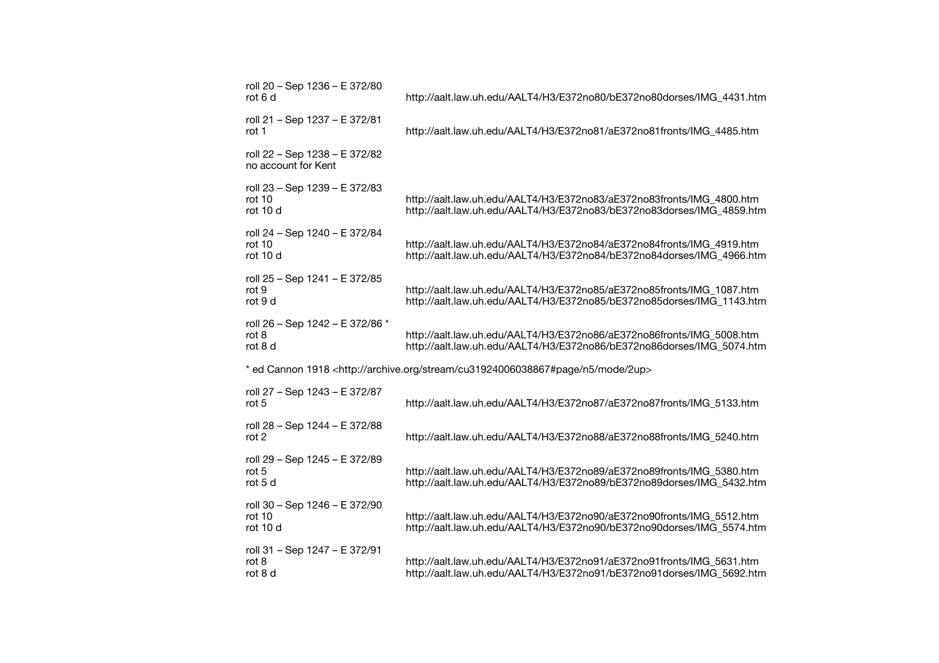| roll 20 - Sep 1236 - E 372/80<br>rot 6 d             | http://aalt.law.uh.edu/AALT4/H3/E372no80/bE372no80dorses/IMG_4431.htm                                                                          |
|------------------------------------------------------|------------------------------------------------------------------------------------------------------------------------------------------------|
| roll 21 - Sep 1237 - E 372/81<br>rot 1               | http://aalt.law.uh.edu/AALT4/H3/E372no81/aE372no81fronts/IMG_4485.htm                                                                          |
| roll 22 - Sep 1238 - E 372/82<br>no account for Kent |                                                                                                                                                |
| roll 23 - Sep 1239 - E 372/83<br>rot 10<br>rot 10 d  | http://aalt.law.uh.edu/AALT4/H3/E372no83/aE372no83fronts/IMG 4800.htm<br>http://aalt.law.uh.edu/AALT4/H3/E372no83/bE372no83dorses/IMG 4859.htm |
| roll 24 - Sep 1240 - E 372/84<br>rot 10<br>rot 10 d  | http://aalt.law.uh.edu/AALT4/H3/E372no84/aE372no84fronts/IMG_4919.htm<br>http://aalt.law.uh.edu/AALT4/H3/E372no84/bE372no84dorses/IMG_4966.htm |
| roll 25 - Sep 1241 - E 372/85<br>rot 9<br>rot 9 d    | http://aalt.law.uh.edu/AALT4/H3/E372no85/aE372no85fronts/IMG_1087.htm<br>http://aalt.law.uh.edu/AALT4/H3/E372no85/bE372no85dorses/IMG_1143.htm |
| roll 26 - Sep 1242 - E 372/86 *<br>rot 8<br>rot 8 d  | http://aalt.law.uh.edu/AALT4/H3/E372no86/aE372no86fronts/IMG_5008.htm<br>http://aalt.law.uh.edu/AALT4/H3/E372no86/bE372no86dorses/IMG_5074.htm |
|                                                      | * ed Cannon 1918 <http: 2up="" archive.org="" cu31924006038867#page="" mode="" n5="" stream=""></http:>                                        |
| roll 27 - Sep 1243 - E 372/87<br>rot 5               | http://aalt.law.uh.edu/AALT4/H3/E372no87/aE372no87fronts/IMG_5133.htm                                                                          |
| roll 28 - Sep 1244 - E 372/88<br>rot $2$             | http://aalt.law.uh.edu/AALT4/H3/E372no88/aE372no88fronts/IMG_5240.htm                                                                          |
| roll 29 - Sep 1245 - E 372/89<br>rot $5$<br>rot 5 d  | http://aalt.law.uh.edu/AALT4/H3/E372no89/aE372no89fronts/IMG_5380.htm<br>http://aalt.law.uh.edu/AALT4/H3/E372no89/bE372no89dorses/IMG_5432.htm |
| roll 30 - Sep 1246 - E 372/90<br>rot 10<br>rot 10 d  | http://aalt.law.uh.edu/AALT4/H3/E372no90/aE372no90fronts/IMG_5512.htm<br>http://aalt.law.uh.edu/AALT4/H3/E372no90/bE372no90dorses/IMG_5574.htm |
| roll 31 - Sep 1247 - E 372/91<br>rot 8<br>rot 8 d    | http://aalt.law.uh.edu/AALT4/H3/E372no91/aE372no91fronts/IMG_5631.htm<br>http://aalt.law.uh.edu/AALT4/H3/E372no91/bE372no91dorses/IMG_5692.htm |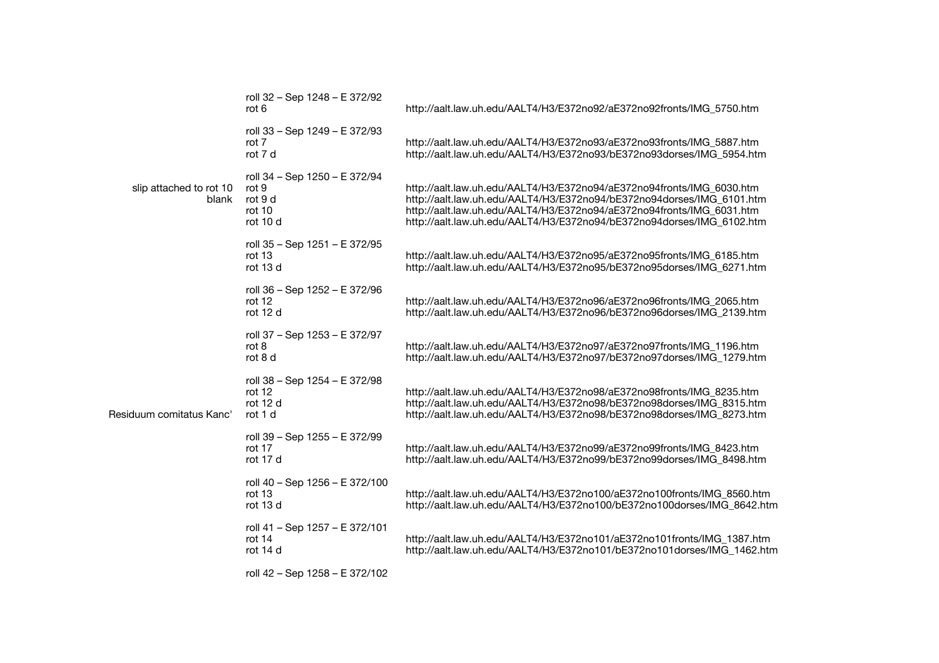|                                  | roll 32 - Sep 1248 - E 372/92<br>rot 6                                  | http://aalt.law.uh.edu/AALT4/H3/E372no92/aE372no92fronts/IMG_5750.htm                                                                                                                                                                                                                            |
|----------------------------------|-------------------------------------------------------------------------|--------------------------------------------------------------------------------------------------------------------------------------------------------------------------------------------------------------------------------------------------------------------------------------------------|
| slip attached to rot 10<br>blank | roll 33 – Sep 1249 – E 372/93<br>rot 7<br>rot 7 d                       | http://aalt.law.uh.edu/AALT4/H3/E372no93/aE372no93fronts/IMG_5887.htm<br>http://aalt.law.uh.edu/AALT4/H3/E372no93/bE372no93dorses/IMG_5954.htm                                                                                                                                                   |
|                                  | roll 34 - Sep 1250 - E 372/94<br>rot 9<br>rot 9 d<br>rot 10<br>rot 10 d | http://aalt.law.uh.edu/AALT4/H3/E372no94/aE372no94fronts/IMG_6030.htm<br>http://aalt.law.uh.edu/AALT4/H3/E372no94/bE372no94dorses/IMG_6101.htm<br>http://aalt.law.uh.edu/AALT4/H3/E372no94/aE372no94fronts/IMG_6031.htm<br>http://aalt.law.uh.edu/AALT4/H3/E372no94/bE372no94dorses/IMG_6102.htm |
|                                  | roll 35 - Sep 1251 - E 372/95<br>rot 13<br>rot 13 d                     | http://aalt.law.uh.edu/AALT4/H3/E372no95/aE372no95fronts/IMG_6185.htm<br>http://aalt.law.uh.edu/AALT4/H3/E372no95/bE372no95dorses/IMG_6271.htm                                                                                                                                                   |
| Residuum comitatus Kanc'         | roll 36 - Sep 1252 - E 372/96<br>rot 12<br>rot 12 d                     | http://aalt.law.uh.edu/AALT4/H3/E372no96/aE372no96fronts/IMG_2065.htm<br>http://aalt.law.uh.edu/AALT4/H3/E372no96/bE372no96dorses/IMG_2139.htm                                                                                                                                                   |
|                                  | roll 37 - Sep 1253 - E 372/97<br>rot 8<br>rot 8 d                       | http://aalt.law.uh.edu/AALT4/H3/E372no97/aE372no97fronts/IMG_1196.htm<br>http://aalt.law.uh.edu/AALT4/H3/E372no97/bE372no97dorses/IMG_1279.htm                                                                                                                                                   |
|                                  | roll 38 - Sep 1254 - E 372/98<br>rot 12<br>rot 12 d<br>rot 1 d          | http://aalt.law.uh.edu/AALT4/H3/E372no98/aE372no98fronts/IMG_8235.htm<br>http://aalt.law.uh.edu/AALT4/H3/E372no98/bE372no98dorses/IMG_8315.htm<br>http://aalt.law.uh.edu/AALT4/H3/E372no98/bE372no98dorses/IMG_8273.htm                                                                          |
|                                  | roll 39 - Sep 1255 - E 372/99<br>rot 17<br>rot 17 d                     | http://aalt.law.uh.edu/AALT4/H3/E372no99/aE372no99fronts/IMG_8423.htm<br>http://aalt.law.uh.edu/AALT4/H3/E372no99/bE372no99dorses/IMG_8498.htm                                                                                                                                                   |
|                                  | roll 40 - Sep 1256 - E 372/100<br>rot 13<br>rot 13 d                    | http://aalt.law.uh.edu/AALT4/H3/E372no100/aE372no100fronts/IMG_8560.htm<br>http://aalt.law.uh.edu/AALT4/H3/E372no100/bE372no100dorses/IMG 8642.htm                                                                                                                                               |
|                                  | roll 41 - Sep 1257 - E 372/101<br>rot 14<br>rot 14 d                    | http://aalt.law.uh.edu/AALT4/H3/E372no101/aE372no101fronts/IMG_1387.htm<br>http://aalt.law.uh.edu/AALT4/H3/E372no101/bE372no101dorses/IMG_1462.htm                                                                                                                                               |
|                                  | roll 42 - Sep 1258 - E 372/102                                          |                                                                                                                                                                                                                                                                                                  |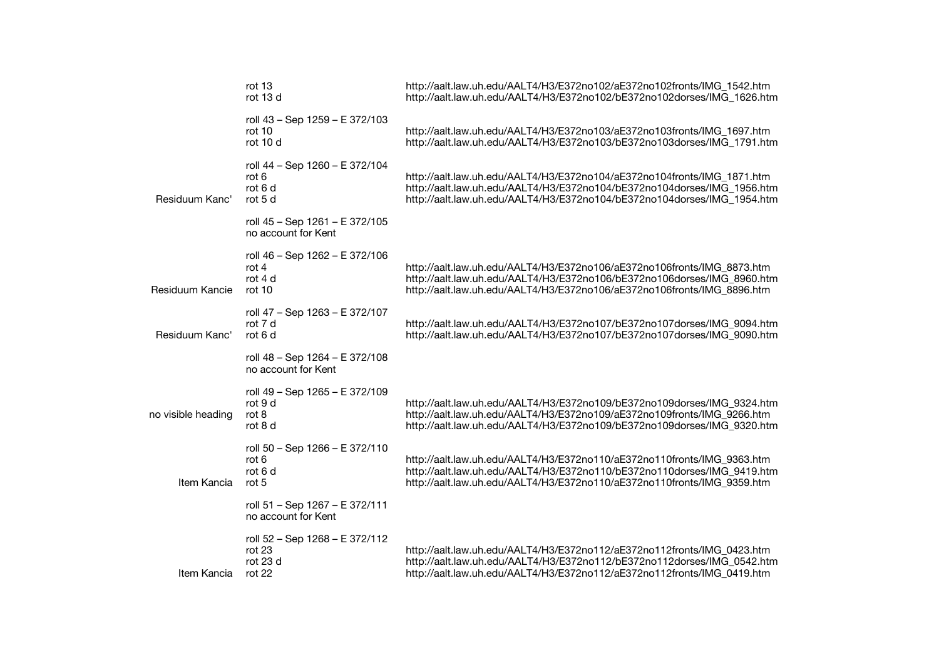|                    | rot 13<br>rot 13 d                                               | http://aalt.law.uh.edu/AALT4/H3/E372no102/aE372no102fronts/IMG_1542.htm<br>http://aalt.law.uh.edu/AALT4/H3/E372no102/bE372no102dorses/IMG_1626.htm                                                                            |
|--------------------|------------------------------------------------------------------|-------------------------------------------------------------------------------------------------------------------------------------------------------------------------------------------------------------------------------|
|                    | roll 43 - Sep 1259 - E 372/103<br>rot 10<br>rot 10 d             | http://aalt.law.uh.edu/AALT4/H3/E372no103/aE372no103fronts/IMG_1697.htm<br>http://aalt.law.uh.edu/AALT4/H3/E372no103/bE372no103dorses/IMG_1791.htm                                                                            |
| Residuum Kanc'     | roll 44 - Sep 1260 - E 372/104<br>rot 6<br>rot 6 d<br>rot 5 d    | http://aalt.law.uh.edu/AALT4/H3/E372no104/aE372no104fronts/IMG_1871.htm<br>http://aalt.law.uh.edu/AALT4/H3/E372no104/bE372no104dorses/IMG 1956.htm<br>http://aalt.law.uh.edu/AALT4/H3/E372no104/bE372no104dorses/IMG_1954.htm |
|                    | roll 45 - Sep 1261 - E 372/105<br>no account for Kent            |                                                                                                                                                                                                                               |
| Residuum Kancie    | roll 46 - Sep 1262 - E 372/106<br>rot $4$<br>rot 4 d<br>rot $10$ | http://aalt.law.uh.edu/AALT4/H3/E372no106/aE372no106fronts/IMG_8873.htm<br>http://aalt.law.uh.edu/AALT4/H3/E372no106/bE372no106dorses/IMG 8960.htm<br>http://aalt.law.uh.edu/AALT4/H3/E372no106/aE372no106fronts/IMG_8896.htm |
| Residuum Kanc'     | roll 47 - Sep 1263 - E 372/107<br>rot 7 d<br>rot 6 d             | http://aalt.law.uh.edu/AALT4/H3/E372no107/bE372no107dorses/IMG_9094.htm<br>http://aalt.law.uh.edu/AALT4/H3/E372no107/bE372no107dorses/IMG 9090.htm                                                                            |
|                    | roll 48 - Sep 1264 - E 372/108<br>no account for Kent            |                                                                                                                                                                                                                               |
| no visible heading | roll 49 - Sep 1265 - E 372/109<br>rot 9 d<br>rot 8<br>rot 8 d    | http://aalt.law.uh.edu/AALT4/H3/E372no109/bE372no109dorses/IMG 9324.htm<br>http://aalt.law.uh.edu/AALT4/H3/E372no109/aE372no109fronts/IMG_9266.htm<br>http://aalt.law.uh.edu/AALT4/H3/E372no109/bE372no109dorses/IMG_9320.htm |
| Item Kancia        | roll 50 - Sep 1266 - E 372/110<br>rot 6<br>rot 6 d<br>rot 5      | http://aalt.law.uh.edu/AALT4/H3/E372no110/aE372no110fronts/IMG_9363.htm<br>http://aalt.law.uh.edu/AALT4/H3/E372no110/bE372no110dorses/IMG_9419.htm<br>http://aalt.law.uh.edu/AALT4/H3/E372no110/aE372no110fronts/IMG_9359.htm |
|                    | roll 51 - Sep 1267 - E 372/111<br>no account for Kent            |                                                                                                                                                                                                                               |
| Item Kancia        | roll 52 – Sep 1268 – E 372/112<br>rot 23<br>rot 23 d<br>rot $22$ | http://aalt.law.uh.edu/AALT4/H3/E372no112/aE372no112fronts/IMG_0423.htm<br>http://aalt.law.uh.edu/AALT4/H3/E372no112/bE372no112dorses/IMG 0542.htm<br>http://aalt.law.uh.edu/AALT4/H3/E372no112/aE372no112fronts/IMG_0419.htm |
|                    |                                                                  |                                                                                                                                                                                                                               |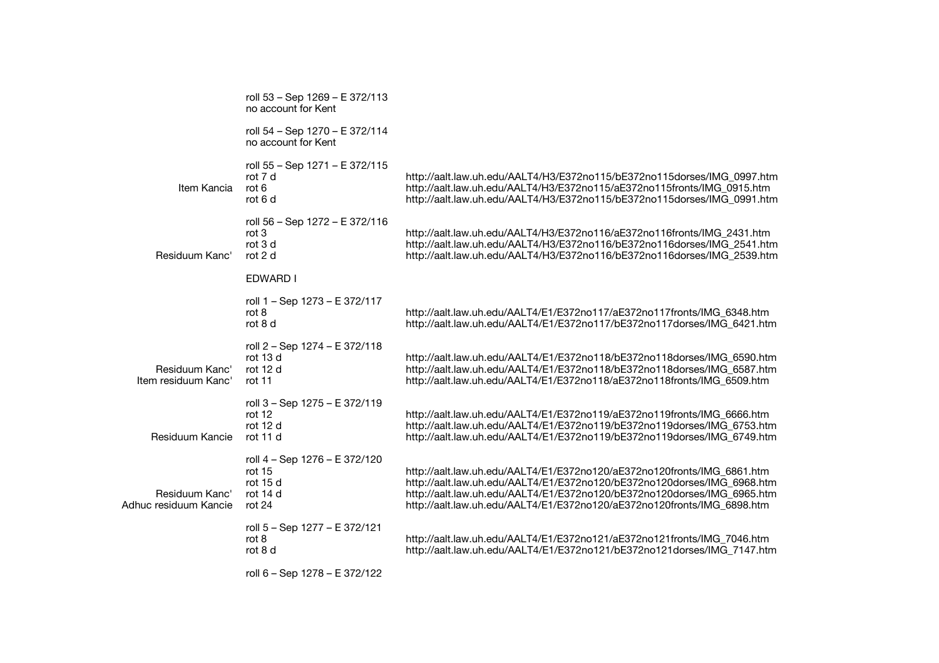|                                         | roll 53 - Sep 1269 - E 372/113<br>no account for Kent                     |                                                                                                                                                                                                                                                                                                          |
|-----------------------------------------|---------------------------------------------------------------------------|----------------------------------------------------------------------------------------------------------------------------------------------------------------------------------------------------------------------------------------------------------------------------------------------------------|
|                                         | roll 54 - Sep 1270 - E 372/114<br>no account for Kent                     |                                                                                                                                                                                                                                                                                                          |
| Item Kancia                             | roll 55 - Sep 1271 - E 372/115<br>rot 7 d<br>rot $6$<br>rot 6 d           | http://aalt.law.uh.edu/AALT4/H3/E372no115/bE372no115dorses/IMG_0997.htm<br>http://aalt.law.uh.edu/AALT4/H3/E372no115/aE372no115fronts/IMG_0915.htm<br>http://aalt.law.uh.edu/AALT4/H3/E372no115/bE372no115dorses/IMG_0991.htm                                                                            |
| Residuum Kanc'                          | roll 56 - Sep 1272 - E 372/116<br>rot 3<br>rot 3 d<br>rot 2 d             | http://aalt.law.uh.edu/AALT4/H3/E372no116/aE372no116fronts/IMG_2431.htm<br>http://aalt.law.uh.edu/AALT4/H3/E372no116/bE372no116dorses/IMG_2541.htm<br>http://aalt.law.uh.edu/AALT4/H3/E372no116/bE372no116dorses/IMG_2539.htm                                                                            |
|                                         | EDWARD I                                                                  |                                                                                                                                                                                                                                                                                                          |
|                                         | roll 1 – Sep 1273 – E 372/117<br>rot $8$<br>rot 8 d                       | http://aalt.law.uh.edu/AALT4/E1/E372no117/aE372no117fronts/IMG_6348.htm<br>http://aalt.law.uh.edu/AALT4/E1/E372no117/bE372no117dorses/IMG_6421.htm                                                                                                                                                       |
| Residuum Kanc'<br>Item residuum Kanc'   | roll 2 - Sep 1274 - E 372/118<br>rot 13 d<br>rot 12 d<br>rot 11           | http://aalt.law.uh.edu/AALT4/E1/E372no118/bE372no118dorses/IMG_6590.htm<br>http://aalt.law.uh.edu/AALT4/E1/E372no118/bE372no118dorses/IMG_6587.htm<br>http://aalt.law.uh.edu/AALT4/E1/E372no118/aE372no118fronts/IMG 6509.htm                                                                            |
| Residuum Kancie                         | roll 3 - Sep 1275 - E 372/119<br>rot 12<br>rot 12 d<br>rot 11 d           | http://aalt.law.uh.edu/AALT4/E1/E372no119/aE372no119fronts/IMG_6666.htm<br>http://aalt.law.uh.edu/AALT4/E1/E372no119/bE372no119dorses/IMG_6753.htm<br>http://aalt.law.uh.edu/AALT4/E1/E372no119/bE372no119dorses/IMG_6749.htm                                                                            |
| Residuum Kanc'<br>Adhuc residuum Kancie | roll 4 - Sep 1276 - E 372/120<br>rot 15<br>rot 15 d<br>rot 14 d<br>rot 24 | http://aalt.law.uh.edu/AALT4/E1/E372no120/aE372no120fronts/IMG_6861.htm<br>http://aalt.law.uh.edu/AALT4/E1/E372no120/bE372no120dorses/IMG_6968.htm<br>http://aalt.law.uh.edu/AALT4/E1/E372no120/bE372no120dorses/IMG 6965.htm<br>http://aalt.law.uh.edu/AALT4/E1/E372no120/aE372no120fronts/IMG_6898.htm |
|                                         | roll 5 - Sep 1277 - E 372/121<br>rot 8<br>rot 8 d                         | http://aalt.law.uh.edu/AALT4/E1/E372no121/aE372no121fronts/IMG_7046.htm<br>http://aalt.law.uh.edu/AALT4/E1/E372no121/bE372no121dorses/IMG_7147.htm                                                                                                                                                       |
|                                         | roll 6 - Sep 1278 - E 372/122                                             |                                                                                                                                                                                                                                                                                                          |